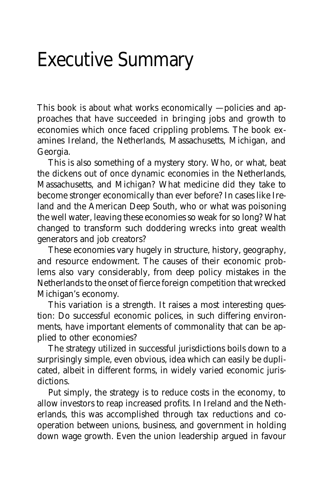## Executive Summary

This book is about what works economically — policies and approaches that have succeeded in bringing jobs and growth to economies which once faced crippling problems. The book examines Ireland, the Netherlands, Massachusetts, Michigan, and Georgia.

This is also something of a mystery story. Who, or what, beat the dickens out of once dynamic economies in the Netherlands, Massachusetts, and Michigan? What medicine did they take to become stronger economically than ever before? In cases like Ireland and the American Deep South, who or what was poisoning the well water, leaving these economies so weak for so long? What changed to transform such doddering wrecks into great wealth generators and job creators?

These economies vary hugely in structure, history, geography, and resource endowment. The causes of their economic problems also vary considerably, from deep policy mistakes in the Netherlands to the onset of fierce foreign competition that wrecked Michigan's economy.

This variation is a strength. It raises a most interesting question: Do successful economic polices, in such differing environments, have important elements of commonality that can be applied to other economies?

The strategy utilized in successful jurisdictions boils down to a surprisingly simple, even obvious, idea which can easily be duplicated, albeit in different forms, in widely varied economic jurisdictions.

Put simply, the strategy is to reduce costs in the economy, to allow investors to reap increased profits. In Ireland and the Netherlands, this was accomplished through tax reductions and cooperation between unions, business, and government in holding down wage growth. Even the union leadership argued in favour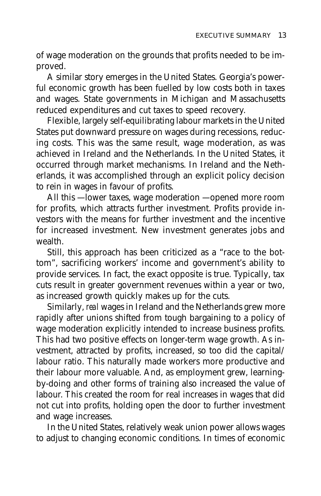of wage moderation on the grounds that profits needed to be improved.

A similar story emerges in the United States. Georgia's powerful economic growth has been fuelled by low costs both in taxes and wages. State governments in Michigan and Massachusetts reduced expenditures and cut taxes to speed recovery.

Flexible, largely self-equilibrating labour markets in the United States put downward pressure on wages during recessions, reducing costs. This was the same result, wage moderation, as was achieved in Ireland and the Netherlands. In the United States, it occurred through market mechanisms. In Ireland and the Netherlands, it was accomplished through an explicit policy decision to rein in wages in favour of profits.

All this – lower taxes, wage moderation – opened more room for profits, which attracts further investment. Profits provide investors with the means for further investment and the incentive for increased investment. New investment generates jobs and wealth.

Still, this approach has been criticized as a "race to the bottom", sacrificing workers' income and government's ability to provide services. In fact, the exact opposite is true. Typically, tax cuts result in greater government revenues within a year or two, as increased growth quickly makes up for the cuts.

Similarly, *real* wages in Ireland and the Netherlands grew more rapidly after unions shifted from tough bargaining to a policy of wage moderation explicitly intended to increase business profits. This had two positive effects on longer-term wage growth. As investment, attracted by profits, increased, so too did the capital/ labour ratio. This naturally made workers more productive and their labour more valuable. And, as employment grew, learningby-doing and other forms of training also increased the value of labour. This created the room for real increases in wages that did not cut into profits, holding open the door to further investment and wage increases.

In the United States, relatively weak union power allows wages to adjust to changing economic conditions. In times of economic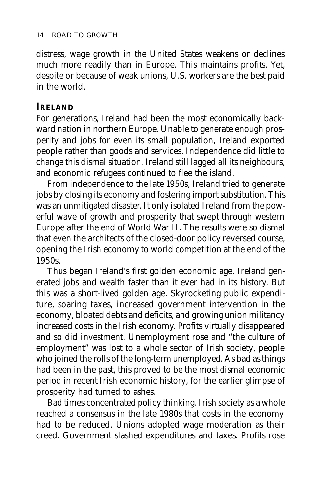distress, wage growth in the United States weakens or declines much more readily than in Europe. This maintains profits. Yet, despite or because of weak unions, U.S. workers are the best paid in the world.

## **IRELAND**

For generations, Ireland had been the most economically backward nation in northern Europe. Unable to generate enough prosperity and jobs for even its small population, Ireland exported people rather than goods and services. Independence did little to change this dismal situation. Ireland still lagged all its neighbours, and economic refugees continued to flee the island.

From independence to the late 1950s, Ireland tried to generate jobs by closing its economy and fostering import substitution. This was an unmitigated disaster. It only isolated Ireland from the powerful wave of growth and prosperity that swept through western Europe after the end of World War II. The results were so dismal that even the architects of the closed-door policy reversed course, opening the Irish economy to world competition at the end of the 1950s.

Thus began Ireland's first golden economic age. Ireland generated jobs and wealth faster than it ever had in its history. But this was a short-lived golden age. Skyrocketing public expenditure, soaring taxes, increased government intervention in the economy, bloated debts and deficits, and growing union militancy increased costs in the Irish economy. Profits virtually disappeared and so did investment. Unemployment rose and "the culture of employment" was lost to a whole sector of Irish society, people who joined the rolls of the long-term unemployed. As bad as things had been in the past, this proved to be the most dismal economic period in recent Irish economic history, for the earlier glimpse of prosperity had turned to ashes.

Bad times concentrated policy thinking. Irish society as a whole reached a consensus in the late 1980s that costs in the economy had to be reduced. Unions adopted wage moderation as their creed. Government slashed expenditures and taxes. Profits rose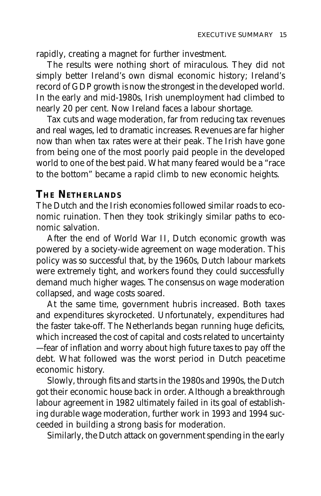rapidly, creating a magnet for further investment.

The results were nothing short of miraculous. They did not simply better Ireland's own dismal economic history; Ireland's record of GDP growth is now the strongest in the developed world. In the early and mid-1980s, Irish unemployment had climbed to nearly 20 per cent. Now Ireland faces a labour shortage.

Tax cuts and wage moderation, far from reducing tax revenues and real wages, led to dramatic increases. Revenues are far higher now than when tax rates were at their peak. The Irish have gone from being one of the most poorly paid people in the developed world to one of the best paid. What many feared would be a "race to the bottom" became a rapid climb to new economic heights.

## **THE NETHERLANDS**

The Dutch and the Irish economies followed similar roads to economic ruination. Then they took strikingly similar paths to economic salvation.

After the end of World War II, Dutch economic growth was powered by a society-wide agreement on wage moderation. This policy was so successful that, by the 1960s, Dutch labour markets were extremely tight, and workers found they could successfully demand much higher wages. The consensus on wage moderation collapsed, and wage costs soared.

At the same time, government hubris increased. Both taxes and expenditures skyrocketed. Unfortunately, expenditures had the faster take-off. The Netherlands began running huge deficits, which increased the cost of capital and costs related to uncertainty — fear of inflation and worry about high future taxes to pay off the debt. What followed was the worst period in Dutch peacetime economic history.

Slowly, through fits and starts in the 1980s and 1990s, the Dutch got their economic house back in order. Although a breakthrough labour agreement in 1982 ultimately failed in its goal of establishing durable wage moderation, further work in 1993 and 1994 succeeded in building a strong basis for moderation.

Similarly, the Dutch attack on government spending in the early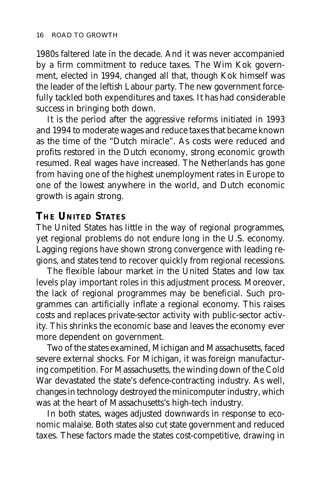1980s faltered late in the decade. And it was never accompanied by a firm commitment to reduce taxes. The Wim Kok government, elected in 1994, changed all that, though Kok himself was the leader of the leftish Labour party. The new government forcefully tackled both expenditures and taxes. It has had considerable success in bringing both down.

It is the period after the aggressive reforms initiated in 1993 and 1994 to moderate wages and reduce taxes that became known as the time of the "Dutch miracle". As costs were reduced and profits restored in the Dutch economy, strong economic growth resumed. Real wages have increased. The Netherlands has gone from having one of the highest unemployment rates in Europe to one of the lowest anywhere in the world, and Dutch economic growth is again strong.

## **THE UNITED STATES**

The United States has little in the way of regional programmes, yet regional problems do not endure long in the U.S. economy. Lagging regions have shown strong convergence with leading regions, and states tend to recover quickly from regional recessions.

The flexible labour market in the United States and low tax levels play important roles in this adjustment process. Moreover, the lack of regional programmes may be beneficial. Such programmes can artificially inflate a regional economy. This raises costs and replaces private-sector activity with public-sector activity. This shrinks the economic base and leaves the economy ever more dependent on government.

Two of the states examined, Michigan and Massachusetts, faced severe external shocks. For Michigan, it was foreign manufacturing competition. For Massachusetts, the winding down of the Cold War devastated the state's defence-contracting industry. As well, changes in technology destroyed the minicomputer industry, which was at the heart of Massachusetts's high-tech industry.

In both states, wages adjusted downwards in response to economic malaise. Both states also cut state government and reduced taxes. These factors made the states cost-competitive, drawing in